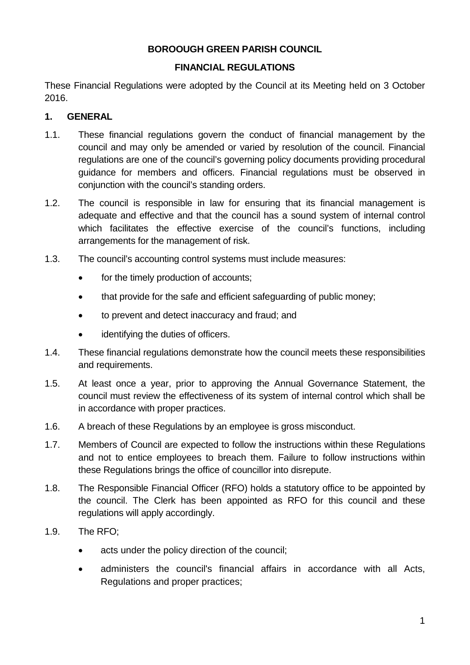### **BOROOUGH GREEN PARISH COUNCIL**

#### **FINANCIAL REGULATIONS**

These Financial Regulations were adopted by the Council at its Meeting held on 3 October 2016.

#### **1. GENERAL**

- 1.1. These financial regulations govern the conduct of financial management by the council and may only be amended or varied by resolution of the council. Financial regulations are one of the council's governing policy documents providing procedural guidance for members and officers. Financial regulations must be observed in conjunction with the council's standing orders.
- 1.2. The council is responsible in law for ensuring that its financial management is adequate and effective and that the council has a sound system of internal control which facilitates the effective exercise of the council's functions, including arrangements for the management of risk.
- 1.3. The council's accounting control systems must include measures:
	- for the timely production of accounts:
	- that provide for the safe and efficient safeguarding of public money:
	- to prevent and detect inaccuracy and fraud; and
	- identifying the duties of officers.
- 1.4. These financial regulations demonstrate how the council meets these responsibilities and requirements.
- 1.5. At least once a year, prior to approving the Annual Governance Statement, the council must review the effectiveness of its system of internal control which shall be in accordance with proper practices.
- 1.6. A breach of these Regulations by an employee is gross misconduct.
- 1.7. Members of Council are expected to follow the instructions within these Regulations and not to entice employees to breach them. Failure to follow instructions within these Regulations brings the office of councillor into disrepute.
- 1.8. The Responsible Financial Officer (RFO) holds a statutory office to be appointed by the council. The Clerk has been appointed as RFO for this council and these regulations will apply accordingly.
- 1.9. The RFO;
	- acts under the policy direction of the council;
	- administers the council's financial affairs in accordance with all Acts, Regulations and proper practices;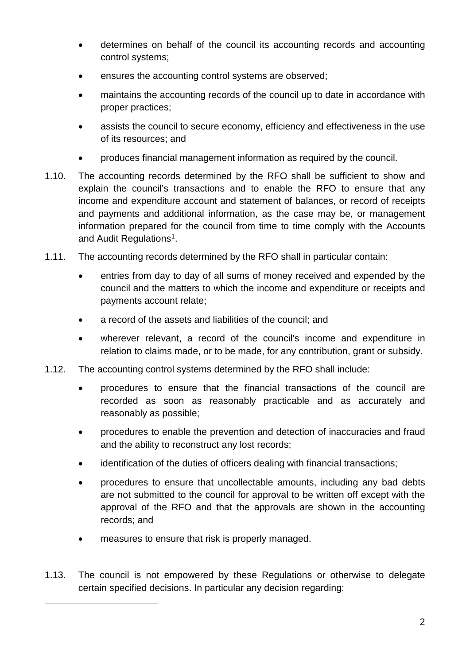- determines on behalf of the council its accounting records and accounting control systems;
- ensures the accounting control systems are observed;
- maintains the accounting records of the council up to date in accordance with proper practices;
- assists the council to secure economy, efficiency and effectiveness in the use of its resources; and
- produces financial management information as required by the council.
- 1.10. The accounting records determined by the RFO shall be sufficient to show and explain the council's transactions and to enable the RFO to ensure that any income and expenditure account and statement of balances, or record of receipts and payments and additional information, as the case may be, or management information prepared for the council from time to time comply with the Accounts and Audit Regulations<sup>1</sup>.
- 1.11. The accounting records determined by the RFO shall in particular contain:
	- entries from day to day of all sums of money received and expended by the council and the matters to which the income and expenditure or receipts and payments account relate;
	- a record of the assets and liabilities of the council; and
	- wherever relevant, a record of the council's income and expenditure in relation to claims made, or to be made, for any contribution, grant or subsidy.
- 1.12. The accounting control systems determined by the RFO shall include:
	- procedures to ensure that the financial transactions of the council are recorded as soon as reasonably practicable and as accurately and reasonably as possible;
	- procedures to enable the prevention and detection of inaccuracies and fraud and the ability to reconstruct any lost records;
	- identification of the duties of officers dealing with financial transactions;
	- procedures to ensure that uncollectable amounts, including any bad debts are not submitted to the council for approval to be written off except with the approval of the RFO and that the approvals are shown in the accounting records; and
	- measures to ensure that risk is properly managed.

<span id="page-1-0"></span>-

1.13. The council is not empowered by these Regulations or otherwise to delegate certain specified decisions. In particular any decision regarding: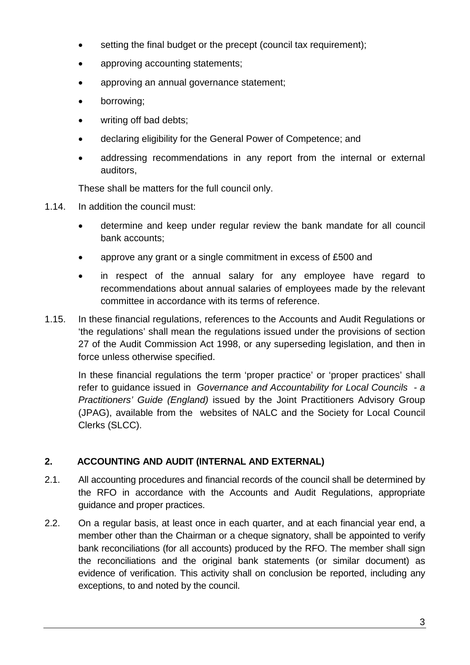- setting the final budget or the precept (council tax requirement);
- approving accounting statements;
- approving an annual governance statement;
- borrowing;
- writing off bad debts:
- declaring eligibility for the General Power of Competence; and
- addressing recommendations in any report from the internal or external auditors,

These shall be matters for the full council only.

- 1.14. In addition the council must:
	- determine and keep under regular review the bank mandate for all council bank accounts;
	- approve any grant or a single commitment in excess of £500 and
	- in respect of the annual salary for any employee have regard to recommendations about annual salaries of employees made by the relevant committee in accordance with its terms of reference.
- 1.15. In these financial regulations, references to the Accounts and Audit Regulations or 'the regulations' shall mean the regulations issued under the provisions of section 27 of the Audit Commission Act 1998, or any superseding legislation, and then in force unless otherwise specified.

In these financial regulations the term 'proper practice' or 'proper practices' shall refer to guidance issued in *Governance and Accountability for Local Councils - a Practitioners' Guide (England)* issued by the Joint Practitioners Advisory Group (JPAG), available from the websites of NALC and the Society for Local Council Clerks (SLCC).

# **2. ACCOUNTING AND AUDIT (INTERNAL AND EXTERNAL)**

- 2.1. All accounting procedures and financial records of the council shall be determined by the RFO in accordance with the Accounts and Audit Regulations, appropriate guidance and proper practices.
- 2.2. On a regular basis, at least once in each quarter, and at each financial year end, a member other than the Chairman or a cheque signatory, shall be appointed to verify bank reconciliations (for all accounts) produced by the RFO. The member shall sign the reconciliations and the original bank statements (or similar document) as evidence of verification. This activity shall on conclusion be reported, including any exceptions, to and noted by the council.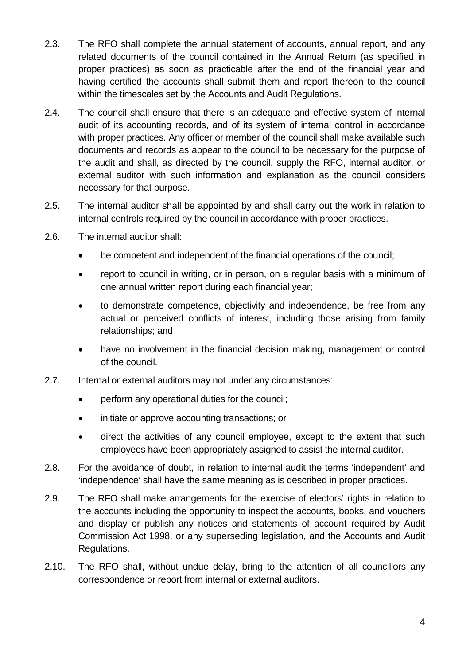- 2.3. The RFO shall complete the annual statement of accounts, annual report, and any related documents of the council contained in the Annual Return (as specified in proper practices) as soon as practicable after the end of the financial year and having certified the accounts shall submit them and report thereon to the council within the timescales set by the Accounts and Audit Regulations.
- 2.4. The council shall ensure that there is an adequate and effective system of internal audit of its accounting records, and of its system of internal control in accordance with proper practices. Any officer or member of the council shall make available such documents and records as appear to the council to be necessary for the purpose of the audit and shall, as directed by the council, supply the RFO, internal auditor, or external auditor with such information and explanation as the council considers necessary for that purpose.
- 2.5. The internal auditor shall be appointed by and shall carry out the work in relation to internal controls required by the council in accordance with proper practices.
- 2.6. The internal auditor shall:
	- be competent and independent of the financial operations of the council;
	- report to council in writing, or in person, on a regular basis with a minimum of one annual written report during each financial year;
	- to demonstrate competence, objectivity and independence, be free from any actual or perceived conflicts of interest, including those arising from family relationships; and
	- have no involvement in the financial decision making, management or control of the council.
- 2.7. Internal or external auditors may not under any circumstances:
	- perform any operational duties for the council;
	- initiate or approve accounting transactions; or
	- direct the activities of any council employee, except to the extent that such employees have been appropriately assigned to assist the internal auditor.
- 2.8. For the avoidance of doubt, in relation to internal audit the terms 'independent' and 'independence' shall have the same meaning as is described in proper practices.
- 2.9. The RFO shall make arrangements for the exercise of electors' rights in relation to the accounts including the opportunity to inspect the accounts, books, and vouchers and display or publish any notices and statements of account required by Audit Commission Act 1998, or any superseding legislation, and the Accounts and Audit Regulations.
- 2.10. The RFO shall, without undue delay, bring to the attention of all councillors any correspondence or report from internal or external auditors.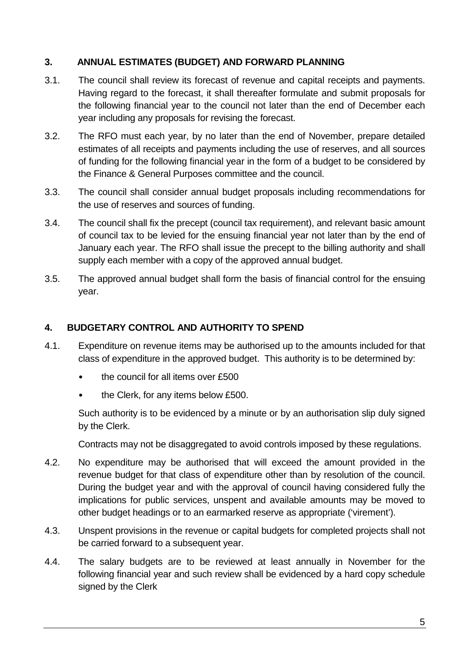### **3. ANNUAL ESTIMATES (BUDGET) AND FORWARD PLANNING**

- 3.1. The council shall review its forecast of revenue and capital receipts and payments. Having regard to the forecast, it shall thereafter formulate and submit proposals for the following financial year to the council not later than the end of December each year including any proposals for revising the forecast.
- 3.2. The RFO must each year, by no later than the end of November, prepare detailed estimates of all receipts and payments including the use of reserves, and all sources of funding for the following financial year in the form of a budget to be considered by the Finance & General Purposes committee and the council.
- 3.3. The council shall consider annual budget proposals including recommendations for the use of reserves and sources of funding.
- 3.4. The council shall fix the precept (council tax requirement), and relevant basic amount of council tax to be levied for the ensuing financial year not later than by the end of January each year. The RFO shall issue the precept to the billing authority and shall supply each member with a copy of the approved annual budget.
- 3.5. The approved annual budget shall form the basis of financial control for the ensuing year.

### **4. BUDGETARY CONTROL AND AUTHORITY TO SPEND**

- 4.1. Expenditure on revenue items may be authorised up to the amounts included for that class of expenditure in the approved budget. This authority is to be determined by:
	- the council for all items over £500
	- the Clerk, for any items below £500.

Such authority is to be evidenced by a minute or by an authorisation slip duly signed by the Clerk.

Contracts may not be disaggregated to avoid controls imposed by these regulations.

- 4.2. No expenditure may be authorised that will exceed the amount provided in the revenue budget for that class of expenditure other than by resolution of the council. During the budget year and with the approval of council having considered fully the implications for public services, unspent and available amounts may be moved to other budget headings or to an earmarked reserve as appropriate ('virement').
- 4.3. Unspent provisions in the revenue or capital budgets for completed projects shall not be carried forward to a subsequent year.
- 4.4. The salary budgets are to be reviewed at least annually in November for the following financial year and such review shall be evidenced by a hard copy schedule signed by the Clerk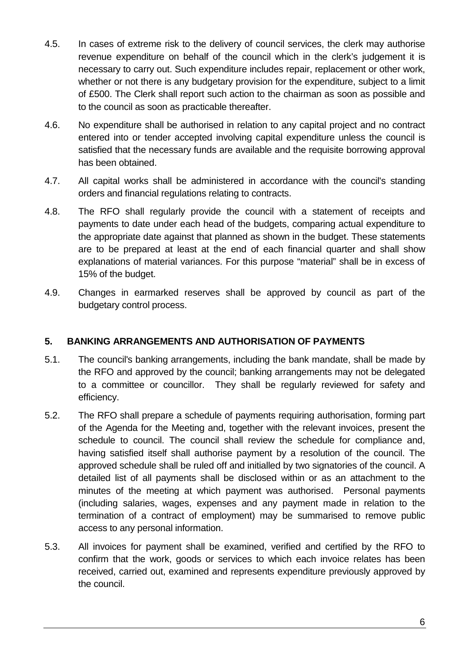- 4.5. In cases of extreme risk to the delivery of council services, the clerk may authorise revenue expenditure on behalf of the council which in the clerk's judgement it is necessary to carry out. Such expenditure includes repair, replacement or other work, whether or not there is any budgetary provision for the expenditure, subject to a limit of £500. The Clerk shall report such action to the chairman as soon as possible and to the council as soon as practicable thereafter.
- 4.6. No expenditure shall be authorised in relation to any capital project and no contract entered into or tender accepted involving capital expenditure unless the council is satisfied that the necessary funds are available and the requisite borrowing approval has been obtained.
- 4.7. All capital works shall be administered in accordance with the council's standing orders and financial regulations relating to contracts.
- 4.8. The RFO shall regularly provide the council with a statement of receipts and payments to date under each head of the budgets, comparing actual expenditure to the appropriate date against that planned as shown in the budget. These statements are to be prepared at least at the end of each financial quarter and shall show explanations of material variances. For this purpose "material" shall be in excess of 15% of the budget.
- 4.9. Changes in earmarked reserves shall be approved by council as part of the budgetary control process.

#### **5. BANKING ARRANGEMENTS AND AUTHORISATION OF PAYMENTS**

- 5.1. The council's banking arrangements, including the bank mandate, shall be made by the RFO and approved by the council; banking arrangements may not be delegated to a committee or councillor. They shall be regularly reviewed for safety and efficiency.
- 5.2. The RFO shall prepare a schedule of payments requiring authorisation, forming part of the Agenda for the Meeting and, together with the relevant invoices, present the schedule to council. The council shall review the schedule for compliance and, having satisfied itself shall authorise payment by a resolution of the council. The approved schedule shall be ruled off and initialled by two signatories of the council. A detailed list of all payments shall be disclosed within or as an attachment to the minutes of the meeting at which payment was authorised. Personal payments (including salaries, wages, expenses and any payment made in relation to the termination of a contract of employment) may be summarised to remove public access to any personal information.
- 5.3. All invoices for payment shall be examined, verified and certified by the RFO to confirm that the work, goods or services to which each invoice relates has been received, carried out, examined and represents expenditure previously approved by the council.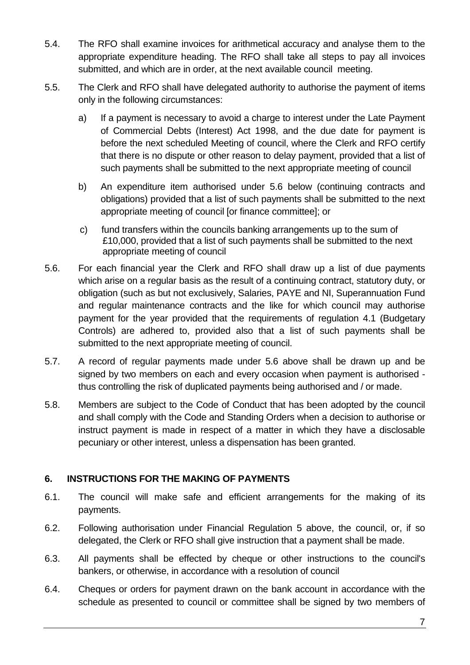- 5.4. The RFO shall examine invoices for arithmetical accuracy and analyse them to the appropriate expenditure heading. The RFO shall take all steps to pay all invoices submitted, and which are in order, at the next available council meeting.
- 5.5. The Clerk and RFO shall have delegated authority to authorise the payment of items only in the following circumstances:
	- a) If a payment is necessary to avoid a charge to interest under the Late Payment of Commercial Debts (Interest) Act 1998, and the due date for payment is before the next scheduled Meeting of council, where the Clerk and RFO certify that there is no dispute or other reason to delay payment, provided that a list of such payments shall be submitted to the next appropriate meeting of council
	- b) An expenditure item authorised under 5.6 below (continuing contracts and obligations) provided that a list of such payments shall be submitted to the next appropriate meeting of council [or finance committee]; or
	- c) fund transfers within the councils banking arrangements up to the sum of £10,000, provided that a list of such payments shall be submitted to the next appropriate meeting of council
- 5.6. For each financial year the Clerk and RFO shall draw up a list of due payments which arise on a regular basis as the result of a continuing contract, statutory duty, or obligation (such as but not exclusively, Salaries, PAYE and NI, Superannuation Fund and regular maintenance contracts and the like for which council may authorise payment for the year provided that the requirements of regulation 4.1 (Budgetary Controls) are adhered to, provided also that a list of such payments shall be submitted to the next appropriate meeting of council.
- 5.7. A record of regular payments made under 5.6 above shall be drawn up and be signed by two members on each and every occasion when payment is authorised thus controlling the risk of duplicated payments being authorised and / or made.
- 5.8. Members are subject to the Code of Conduct that has been adopted by the council and shall comply with the Code and Standing Orders when a decision to authorise or instruct payment is made in respect of a matter in which they have a disclosable pecuniary or other interest, unless a dispensation has been granted.

# **6. INSTRUCTIONS FOR THE MAKING OF PAYMENTS**

- 6.1. The council will make safe and efficient arrangements for the making of its payments.
- 6.2. Following authorisation under Financial Regulation 5 above, the council, or, if so delegated, the Clerk or RFO shall give instruction that a payment shall be made.
- 6.3. All payments shall be effected by cheque or other instructions to the council's bankers, or otherwise, in accordance with a resolution of council
- 6.4. Cheques or orders for payment drawn on the bank account in accordance with the schedule as presented to council or committee shall be signed by two members of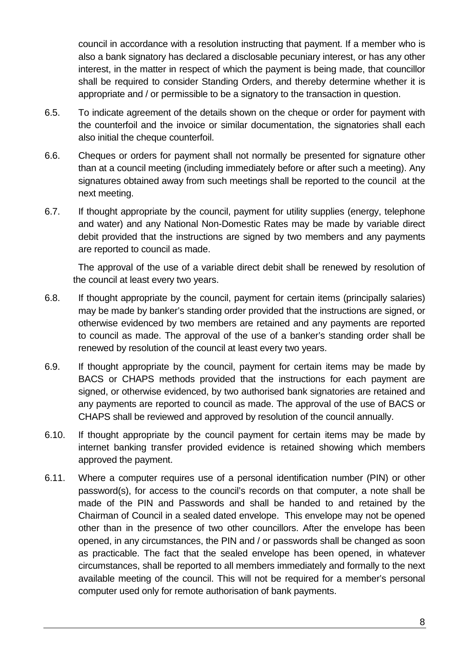council in accordance with a resolution instructing that payment. If a member who is also a bank signatory has declared a disclosable pecuniary interest, or has any other interest, in the matter in respect of which the payment is being made, that councillor shall be required to consider Standing Orders, and thereby determine whether it is appropriate and / or permissible to be a signatory to the transaction in question.

- 6.5. To indicate agreement of the details shown on the cheque or order for payment with the counterfoil and the invoice or similar documentation, the signatories shall each also initial the cheque counterfoil.
- 6.6. Cheques or orders for payment shall not normally be presented for signature other than at a council meeting (including immediately before or after such a meeting). Any signatures obtained away from such meetings shall be reported to the council at the next meeting.
- 6.7. If thought appropriate by the council, payment for utility supplies (energy, telephone and water) and any National Non-Domestic Rates may be made by variable direct debit provided that the instructions are signed by two members and any payments are reported to council as made.

 The approval of the use of a variable direct debit shall be renewed by resolution of the council at least every two years.

- 6.8. If thought appropriate by the council, payment for certain items (principally salaries) may be made by banker's standing order provided that the instructions are signed, or otherwise evidenced by two members are retained and any payments are reported to council as made. The approval of the use of a banker's standing order shall be renewed by resolution of the council at least every two years.
- 6.9. If thought appropriate by the council, payment for certain items may be made by BACS or CHAPS methods provided that the instructions for each payment are signed, or otherwise evidenced, by two authorised bank signatories are retained and any payments are reported to council as made. The approval of the use of BACS or CHAPS shall be reviewed and approved by resolution of the council annually.
- 6.10. If thought appropriate by the council payment for certain items may be made by internet banking transfer provided evidence is retained showing which members approved the payment.
- 6.11. Where a computer requires use of a personal identification number (PIN) or other password(s), for access to the council's records on that computer, a note shall be made of the PIN and Passwords and shall be handed to and retained by the Chairman of Council in a sealed dated envelope. This envelope may not be opened other than in the presence of two other councillors. After the envelope has been opened, in any circumstances, the PIN and / or passwords shall be changed as soon as practicable. The fact that the sealed envelope has been opened, in whatever circumstances, shall be reported to all members immediately and formally to the next available meeting of the council. This will not be required for a member's personal computer used only for remote authorisation of bank payments.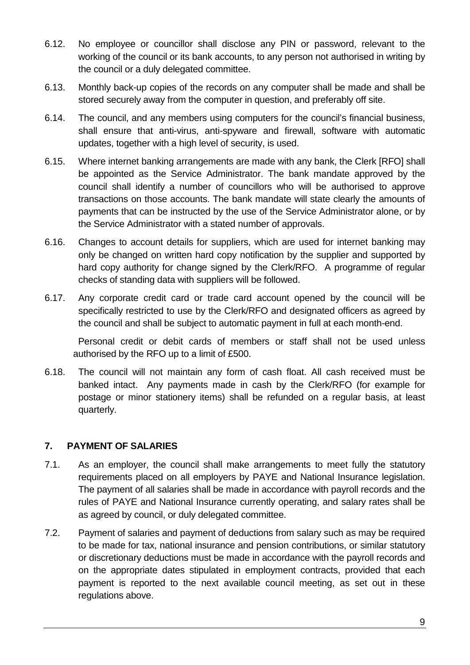- 6.12. No employee or councillor shall disclose any PIN or password, relevant to the working of the council or its bank accounts, to any person not authorised in writing by the council or a duly delegated committee.
- 6.13. Monthly back-up copies of the records on any computer shall be made and shall be stored securely away from the computer in question, and preferably off site.
- 6.14. The council, and any members using computers for the council's financial business, shall ensure that anti-virus, anti-spyware and firewall, software with automatic updates, together with a high level of security, is used.
- 6.15. Where internet banking arrangements are made with any bank, the Clerk [RFO] shall be appointed as the Service Administrator. The bank mandate approved by the council shall identify a number of councillors who will be authorised to approve transactions on those accounts. The bank mandate will state clearly the amounts of payments that can be instructed by the use of the Service Administrator alone, or by the Service Administrator with a stated number of approvals.
- 6.16. Changes to account details for suppliers, which are used for internet banking may only be changed on written hard copy notification by the supplier and supported by hard copy authority for change signed by the Clerk/RFO. A programme of regular checks of standing data with suppliers will be followed.
- 6.17. Any corporate credit card or trade card account opened by the council will be specifically restricted to use by the Clerk/RFO and designated officers as agreed by the council and shall be subject to automatic payment in full at each month-end.

 Personal credit or debit cards of members or staff shall not be used unless authorised by the RFO up to a limit of £500.

6.18. The council will not maintain any form of cash float. All cash received must be banked intact. Any payments made in cash by the Clerk/RFO (for example for postage or minor stationery items) shall be refunded on a regular basis, at least quarterly.

# **7. PAYMENT OF SALARIES**

- 7.1. As an employer, the council shall make arrangements to meet fully the statutory requirements placed on all employers by PAYE and National Insurance legislation. The payment of all salaries shall be made in accordance with payroll records and the rules of PAYE and National Insurance currently operating, and salary rates shall be as agreed by council, or duly delegated committee.
- 7.2. Payment of salaries and payment of deductions from salary such as may be required to be made for tax, national insurance and pension contributions, or similar statutory or discretionary deductions must be made in accordance with the payroll records and on the appropriate dates stipulated in employment contracts, provided that each payment is reported to the next available council meeting, as set out in these regulations above.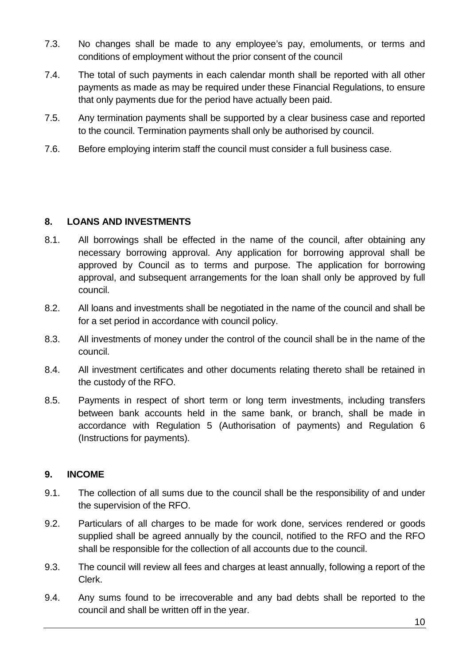- 7.3. No changes shall be made to any employee's pay, emoluments, or terms and conditions of employment without the prior consent of the council
- 7.4. The total of such payments in each calendar month shall be reported with all other payments as made as may be required under these Financial Regulations, to ensure that only payments due for the period have actually been paid.
- 7.5. Any termination payments shall be supported by a clear business case and reported to the council. Termination payments shall only be authorised by council.
- 7.6. Before employing interim staff the council must consider a full business case.

### **8. LOANS AND INVESTMENTS**

- 8.1. All borrowings shall be effected in the name of the council, after obtaining any necessary borrowing approval. Any application for borrowing approval shall be approved by Council as to terms and purpose. The application for borrowing approval, and subsequent arrangements for the loan shall only be approved by full council.
- 8.2. All loans and investments shall be negotiated in the name of the council and shall be for a set period in accordance with council policy.
- 8.3. All investments of money under the control of the council shall be in the name of the council.
- 8.4. All investment certificates and other documents relating thereto shall be retained in the custody of the RFO.
- 8.5. Payments in respect of short term or long term investments, including transfers between bank accounts held in the same bank, or branch, shall be made in accordance with Regulation 5 (Authorisation of payments) and Regulation 6 (Instructions for payments).

# **9. INCOME**

- 9.1. The collection of all sums due to the council shall be the responsibility of and under the supervision of the RFO.
- 9.2. Particulars of all charges to be made for work done, services rendered or goods supplied shall be agreed annually by the council, notified to the RFO and the RFO shall be responsible for the collection of all accounts due to the council.
- 9.3. The council will review all fees and charges at least annually, following a report of the Clerk.
- 9.4. Any sums found to be irrecoverable and any bad debts shall be reported to the council and shall be written off in the year.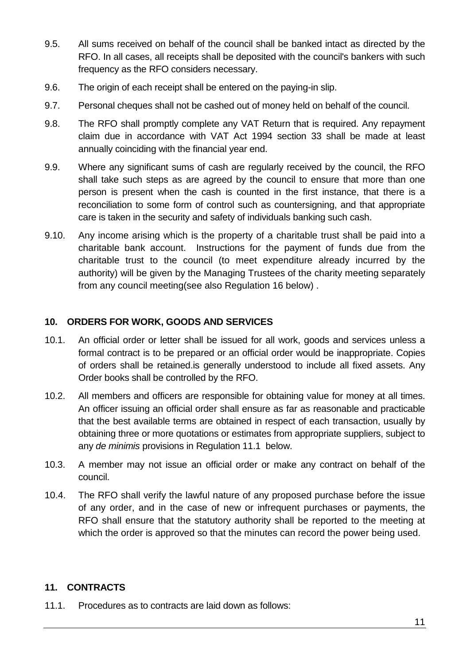- 9.5. All sums received on behalf of the council shall be banked intact as directed by the RFO. In all cases, all receipts shall be deposited with the council's bankers with such frequency as the RFO considers necessary.
- 9.6. The origin of each receipt shall be entered on the paying-in slip.
- 9.7. Personal cheques shall not be cashed out of money held on behalf of the council.
- 9.8. The RFO shall promptly complete any VAT Return that is required. Any repayment claim due in accordance with VAT Act 1994 section 33 shall be made at least annually coinciding with the financial year end.
- 9.9. Where any significant sums of cash are regularly received by the council, the RFO shall take such steps as are agreed by the council to ensure that more than one person is present when the cash is counted in the first instance, that there is a reconciliation to some form of control such as countersigning, and that appropriate care is taken in the security and safety of individuals banking such cash.
- 9.10. Any income arising which is the property of a charitable trust shall be paid into a charitable bank account. Instructions for the payment of funds due from the charitable trust to the council (to meet expenditure already incurred by the authority) will be given by the Managing Trustees of the charity meeting separately from any council meeting(see also Regulation 16 below) .

# **10. ORDERS FOR WORK, GOODS AND SERVICES**

- 10.1. An official order or letter shall be issued for all work, goods and services unless a formal contract is to be prepared or an official order would be inappropriate. Copies of orders shall be retained.is generally understood to include all fixed assets. Any Order books shall be controlled by the RFO.
- 10.2. All members and officers are responsible for obtaining value for money at all times. An officer issuing an official order shall ensure as far as reasonable and practicable that the best available terms are obtained in respect of each transaction, usually by obtaining three or more quotations or estimates from appropriate suppliers, subject to any *de minimis* provisions in Regulation 11.1 below.
- 10.3. A member may not issue an official order or make any contract on behalf of the council.
- 10.4. The RFO shall verify the lawful nature of any proposed purchase before the issue of any order, and in the case of new or infrequent purchases or payments, the RFO shall ensure that the statutory authority shall be reported to the meeting at which the order is approved so that the minutes can record the power being used.

# **11. CONTRACTS**

11.1. Procedures as to contracts are laid down as follows: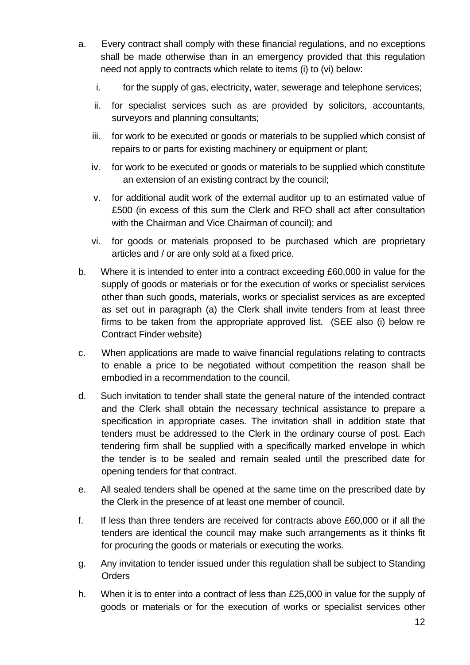- a. Every contract shall comply with these financial regulations, and no exceptions shall be made otherwise than in an emergency provided that this regulation need not apply to contracts which relate to items (i) to (vi) below:
	- i. for the supply of gas, electricity, water, sewerage and telephone services;
	- ii. for specialist services such as are provided by solicitors, accountants, surveyors and planning consultants;
	- iii. for work to be executed or goods or materials to be supplied which consist of repairs to or parts for existing machinery or equipment or plant;
	- iv. for work to be executed or goods or materials to be supplied which constitute an extension of an existing contract by the council;
	- v. for additional audit work of the external auditor up to an estimated value of £500 (in excess of this sum the Clerk and RFO shall act after consultation with the Chairman and Vice Chairman of council); and
	- vi. for goods or materials proposed to be purchased which are proprietary articles and / or are only sold at a fixed price.
- b. Where it is intended to enter into a contract exceeding £60,000 in value for the supply of goods or materials or for the execution of works or specialist services other than such goods, materials, works or specialist services as are excepted as set out in paragraph (a) the Clerk shall invite tenders from at least three firms to be taken from the appropriate approved list. (SEE also (i) below re Contract Finder website)
- c. When applications are made to waive financial regulations relating to contracts to enable a price to be negotiated without competition the reason shall be embodied in a recommendation to the council.
- d. Such invitation to tender shall state the general nature of the intended contract and the Clerk shall obtain the necessary technical assistance to prepare a specification in appropriate cases. The invitation shall in addition state that tenders must be addressed to the Clerk in the ordinary course of post. Each tendering firm shall be supplied with a specifically marked envelope in which the tender is to be sealed and remain sealed until the prescribed date for opening tenders for that contract.
- e. All sealed tenders shall be opened at the same time on the prescribed date by the Clerk in the presence of at least one member of council.
- f. If less than three tenders are received for contracts above £60,000 or if all the tenders are identical the council may make such arrangements as it thinks fit for procuring the goods or materials or executing the works.
- g. Any invitation to tender issued under this regulation shall be subject to Standing **Orders**
- h. When it is to enter into a contract of less than £25,000 in value for the supply of goods or materials or for the execution of works or specialist services other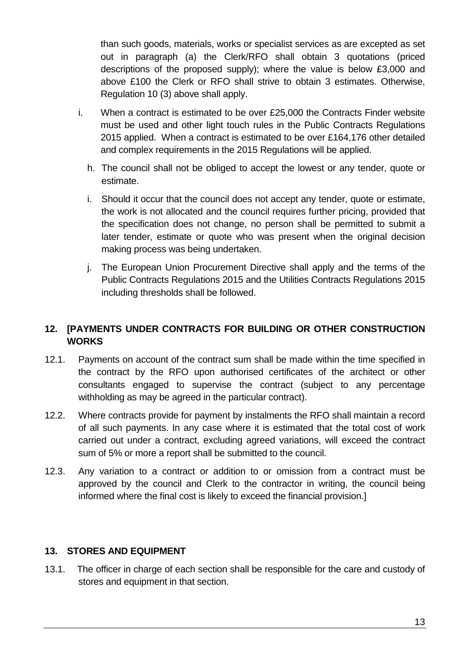than such goods, materials, works or specialist services as are excepted as set out in paragraph (a) the Clerk/RFO shall obtain 3 quotations (priced descriptions of the proposed supply); where the value is below £3,000 and above £100 the Clerk or RFO shall strive to obtain 3 estimates. Otherwise, Regulation 10 (3) above shall apply.

- i. When a contract is estimated to be over £25,000 the Contracts Finder website must be used and other light touch rules in the Public Contracts Regulations 2015 applied. When a contract is estimated to be over £164,176 other detailed and complex requirements in the 2015 Regulations will be applied.
	- h. The council shall not be obliged to accept the lowest or any tender, quote or estimate.
	- i. Should it occur that the council does not accept any tender, quote or estimate, the work is not allocated and the council requires further pricing, provided that the specification does not change, no person shall be permitted to submit a later tender, estimate or quote who was present when the original decision making process was being undertaken.
	- j. The European Union Procurement Directive shall apply and the terms of the Public Contracts Regulations 2015 and the Utilities Contracts Regulations 2015 including thresholds shall be followed.

# **12. [PAYMENTS UNDER CONTRACTS FOR BUILDING OR OTHER CONSTRUCTION WORKS**

- 12.1. Payments on account of the contract sum shall be made within the time specified in the contract by the RFO upon authorised certificates of the architect or other consultants engaged to supervise the contract (subject to any percentage withholding as may be agreed in the particular contract).
- 12.2. Where contracts provide for payment by instalments the RFO shall maintain a record of all such payments. In any case where it is estimated that the total cost of work carried out under a contract, excluding agreed variations, will exceed the contract sum of 5% or more a report shall be submitted to the council.
- 12.3. Any variation to a contract or addition to or omission from a contract must be approved by the council and Clerk to the contractor in writing, the council being informed where the final cost is likely to exceed the financial provision.]

#### **13. STORES AND EQUIPMENT**

13.1. The officer in charge of each section shall be responsible for the care and custody of stores and equipment in that section.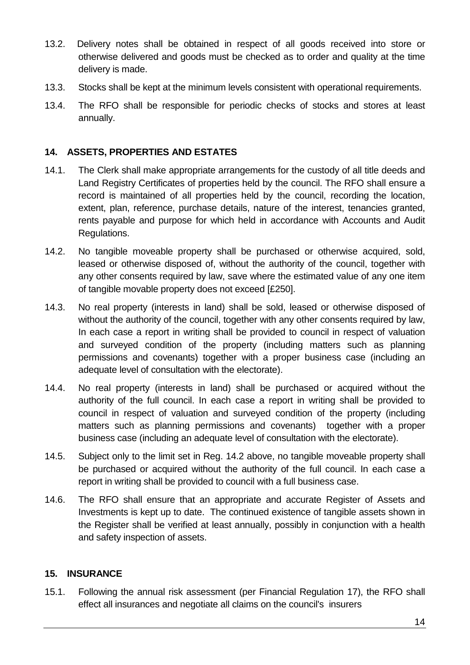- 13.2. Delivery notes shall be obtained in respect of all goods received into store or otherwise delivered and goods must be checked as to order and quality at the time delivery is made.
- 13.3. Stocks shall be kept at the minimum levels consistent with operational requirements.
- 13.4. The RFO shall be responsible for periodic checks of stocks and stores at least annually.

### **14. ASSETS, PROPERTIES AND ESTATES**

- 14.1. The Clerk shall make appropriate arrangements for the custody of all title deeds and Land Registry Certificates of properties held by the council. The RFO shall ensure a record is maintained of all properties held by the council, recording the location, extent, plan, reference, purchase details, nature of the interest, tenancies granted, rents payable and purpose for which held in accordance with Accounts and Audit Regulations.
- 14.2. No tangible moveable property shall be purchased or otherwise acquired, sold, leased or otherwise disposed of, without the authority of the council, together with any other consents required by law, save where the estimated value of any one item of tangible movable property does not exceed [£250].
- 14.3. No real property (interests in land) shall be sold, leased or otherwise disposed of without the authority of the council, together with any other consents required by law. In each case a report in writing shall be provided to council in respect of valuation and surveyed condition of the property (including matters such as planning permissions and covenants) together with a proper business case (including an adequate level of consultation with the electorate).
- 14.4. No real property (interests in land) shall be purchased or acquired without the authority of the full council. In each case a report in writing shall be provided to council in respect of valuation and surveyed condition of the property (including matters such as planning permissions and covenants) together with a proper business case (including an adequate level of consultation with the electorate).
- 14.5. Subject only to the limit set in Reg. 14.2 above, no tangible moveable property shall be purchased or acquired without the authority of the full council. In each case a report in writing shall be provided to council with a full business case.
- 14.6. The RFO shall ensure that an appropriate and accurate Register of Assets and Investments is kept up to date. The continued existence of tangible assets shown in the Register shall be verified at least annually, possibly in conjunction with a health and safety inspection of assets.

#### **15. INSURANCE**

15.1. Following the annual risk assessment (per Financial Regulation 17), the RFO shall effect all insurances and negotiate all claims on the council's insurers